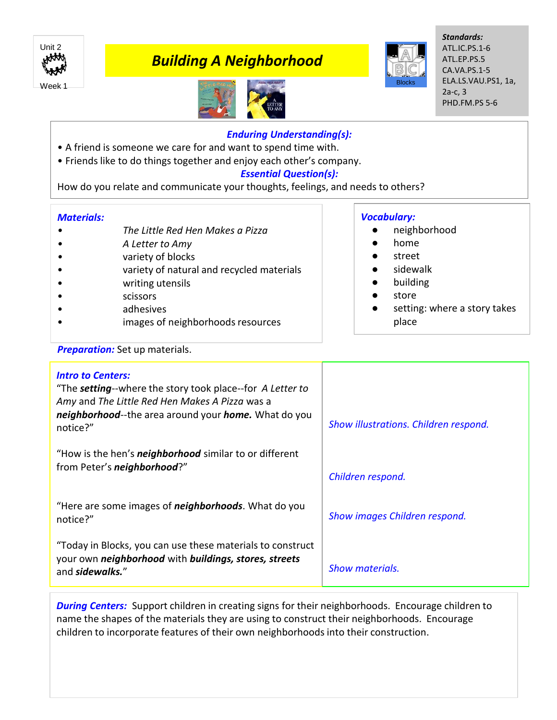

# *Building A Neighborhood*





*Standards:* ATL.IC.PS.1-6 ATL.EP.PS.5 CA.VA.PS.1-5 ELA.LS.VAU.PS1, 1a, 2a-c, 3 PHD.FM.PS 5-6

## *Enduring Understanding(s):*

- A friend is someone we care for and want to spend time with.
- Friends like to do things together and enjoy each other's company.

## *Essential Question(s):*

How do you relate and communicate your thoughts, feelings, and needs to others?

#### *Materials:*

- *• The Little Red Hen Makes a Pizza*
- *• A Letter to Amy*
- *•* variety of blocks
- variety of natural and recycled materials
- writing utensils
- scissors
- adhesives
- images of neighborhoods resources

#### *Vocabulary:*

- neighborhood
- home
- street
- sidewalk
- **building**
- store
- setting: where a story takes place

## **Preparation:** Set up materials.

| <b>Intro to Centers:</b><br>"The <b>setting</b> --where the story took place--for A Letter to<br>Amy and The Little Red Hen Makes A Pizza was a<br>neighborhood--the area around your home. What do you<br>notice?" | Show illustrations. Children respond. |
|---------------------------------------------------------------------------------------------------------------------------------------------------------------------------------------------------------------------|---------------------------------------|
| "How is the hen's <i>neighborhood</i> similar to or different<br>from Peter's neighborhood?"                                                                                                                        | Children respond.                     |
| "Here are some images of <i>neighborhoods</i> . What do you<br>notice?"                                                                                                                                             | Show images Children respond.         |
| "Today in Blocks, you can use these materials to construct<br>your own neighborhood with buildings, stores, streets<br>and sidewalks."                                                                              | <b>Show materials.</b>                |

**During Centers:** Support children in creating signs for their neighborhoods. Encourage children to name the shapes of the materials they are using to construct their neighborhoods. Encourage children to incorporate features of their own neighborhoods into their construction.